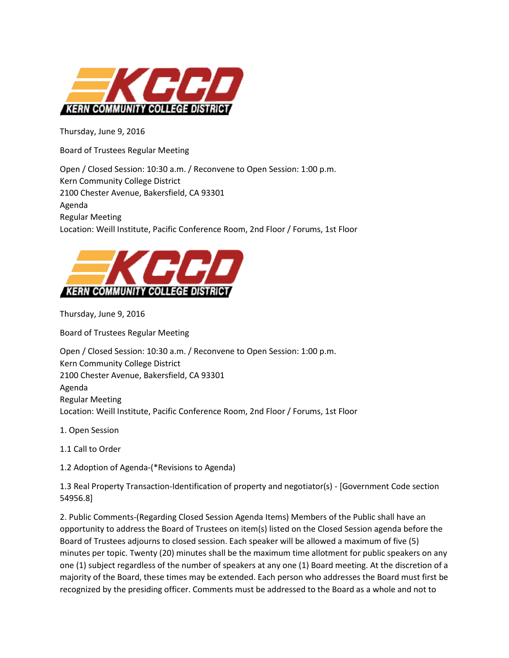

Thursday, June 9, 2016

Board of Trustees Regular Meeting

Open / Closed Session: 10:30 a.m. / Reconvene to Open Session: 1:00 p.m. Kern Community College District 2100 Chester Avenue, Bakersfield, CA 93301 Agenda Regular Meeting Location: Weill Institute, Pacific Conference Room, 2nd Floor / Forums, 1st Floor



Thursday, June 9, 2016

Board of Trustees Regular Meeting

Open / Closed Session: 10:30 a.m. / Reconvene to Open Session: 1:00 p.m. Kern Community College District 2100 Chester Avenue, Bakersfield, CA 93301 Agenda Regular Meeting Location: Weill Institute, Pacific Conference Room, 2nd Floor / Forums, 1st Floor

- 1. Open Session
- 1.1 Call to Order
- 1.2 Adoption of Agenda-(\*Revisions to Agenda)

1.3 Real Property Transaction-Identification of property and negotiator(s) - [Government Code section 54956.8]

2. Public Comments-(Regarding Closed Session Agenda Items) Members of the Public shall have an opportunity to address the Board of Trustees on item(s) listed on the Closed Session agenda before the Board of Trustees adjourns to closed session. Each speaker will be allowed a maximum of five (5) minutes per topic. Twenty (20) minutes shall be the maximum time allotment for public speakers on any one (1) subject regardless of the number of speakers at any one (1) Board meeting. At the discretion of a majority of the Board, these times may be extended. Each person who addresses the Board must first be recognized by the presiding officer. Comments must be addressed to the Board as a whole and not to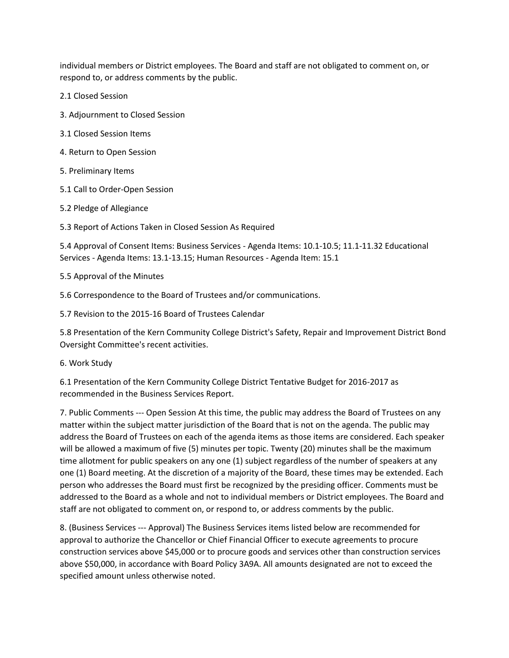individual members or District employees. The Board and staff are not obligated to comment on, or respond to, or address comments by the public.

2.1 Closed Session

- 3. Adjournment to Closed Session
- 3.1 Closed Session Items
- 4. Return to Open Session
- 5. Preliminary Items
- 5.1 Call to Order-Open Session
- 5.2 Pledge of Allegiance
- 5.3 Report of Actions Taken in Closed Session As Required

5.4 Approval of Consent Items: Business Services - Agenda Items: 10.1-10.5; 11.1-11.32 Educational Services - Agenda Items: 13.1-13.15; Human Resources - Agenda Item: 15.1

5.5 Approval of the Minutes

5.6 Correspondence to the Board of Trustees and/or communications.

5.7 Revision to the 2015-16 Board of Trustees Calendar

5.8 Presentation of the Kern Community College District's Safety, Repair and Improvement District Bond Oversight Committee's recent activities.

6. Work Study

6.1 Presentation of the Kern Community College District Tentative Budget for 2016-2017 as recommended in the Business Services Report.

7. Public Comments --- Open Session At this time, the public may address the Board of Trustees on any matter within the subject matter jurisdiction of the Board that is not on the agenda. The public may address the Board of Trustees on each of the agenda items as those items are considered. Each speaker will be allowed a maximum of five (5) minutes per topic. Twenty (20) minutes shall be the maximum time allotment for public speakers on any one (1) subject regardless of the number of speakers at any one (1) Board meeting. At the discretion of a majority of the Board, these times may be extended. Each person who addresses the Board must first be recognized by the presiding officer. Comments must be addressed to the Board as a whole and not to individual members or District employees. The Board and staff are not obligated to comment on, or respond to, or address comments by the public.

8. (Business Services --- Approval) The Business Services items listed below are recommended for approval to authorize the Chancellor or Chief Financial Officer to execute agreements to procure construction services above \$45,000 or to procure goods and services other than construction services above \$50,000, in accordance with Board Policy 3A9A. All amounts designated are not to exceed the specified amount unless otherwise noted.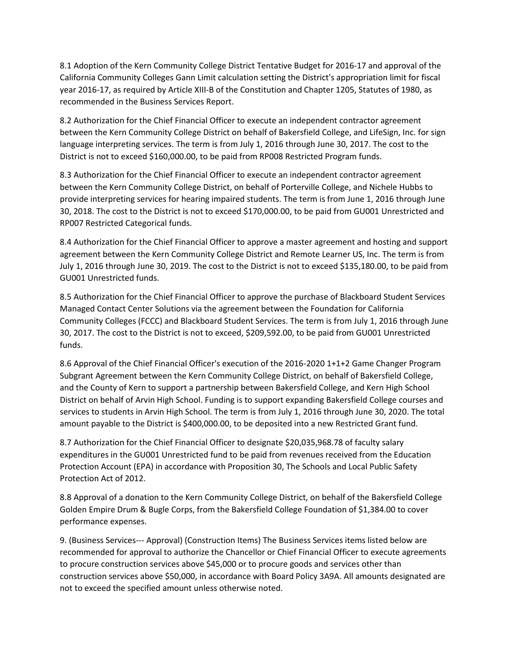8.1 Adoption of the Kern Community College District Tentative Budget for 2016-17 and approval of the California Community Colleges Gann Limit calculation setting the District's appropriation limit for fiscal year 2016-17, as required by Article XIII-B of the Constitution and Chapter 1205, Statutes of 1980, as recommended in the Business Services Report.

8.2 Authorization for the Chief Financial Officer to execute an independent contractor agreement between the Kern Community College District on behalf of Bakersfield College, and LifeSign, Inc. for sign language interpreting services. The term is from July 1, 2016 through June 30, 2017. The cost to the District is not to exceed \$160,000.00, to be paid from RP008 Restricted Program funds.

8.3 Authorization for the Chief Financial Officer to execute an independent contractor agreement between the Kern Community College District, on behalf of Porterville College, and Nichele Hubbs to provide interpreting services for hearing impaired students. The term is from June 1, 2016 through June 30, 2018. The cost to the District is not to exceed \$170,000.00, to be paid from GU001 Unrestricted and RP007 Restricted Categorical funds.

8.4 Authorization for the Chief Financial Officer to approve a master agreement and hosting and support agreement between the Kern Community College District and Remote Learner US, Inc. The term is from July 1, 2016 through June 30, 2019. The cost to the District is not to exceed \$135,180.00, to be paid from GU001 Unrestricted funds.

8.5 Authorization for the Chief Financial Officer to approve the purchase of Blackboard Student Services Managed Contact Center Solutions via the agreement between the Foundation for California Community Colleges (FCCC) and Blackboard Student Services. The term is from July 1, 2016 through June 30, 2017. The cost to the District is not to exceed, \$209,592.00, to be paid from GU001 Unrestricted funds.

8.6 Approval of the Chief Financial Officer's execution of the 2016-2020 1+1+2 Game Changer Program Subgrant Agreement between the Kern Community College District, on behalf of Bakersfield College, and the County of Kern to support a partnership between Bakersfield College, and Kern High School District on behalf of Arvin High School. Funding is to support expanding Bakersfield College courses and services to students in Arvin High School. The term is from July 1, 2016 through June 30, 2020. The total amount payable to the District is \$400,000.00, to be deposited into a new Restricted Grant fund.

8.7 Authorization for the Chief Financial Officer to designate \$20,035,968.78 of faculty salary expenditures in the GU001 Unrestricted fund to be paid from revenues received from the Education Protection Account (EPA) in accordance with Proposition 30, The Schools and Local Public Safety Protection Act of 2012.

8.8 Approval of a donation to the Kern Community College District, on behalf of the Bakersfield College Golden Empire Drum & Bugle Corps, from the Bakersfield College Foundation of \$1,384.00 to cover performance expenses.

9. (Business Services--- Approval) (Construction Items) The Business Services items listed below are recommended for approval to authorize the Chancellor or Chief Financial Officer to execute agreements to procure construction services above \$45,000 or to procure goods and services other than construction services above \$50,000, in accordance with Board Policy 3A9A. All amounts designated are not to exceed the specified amount unless otherwise noted.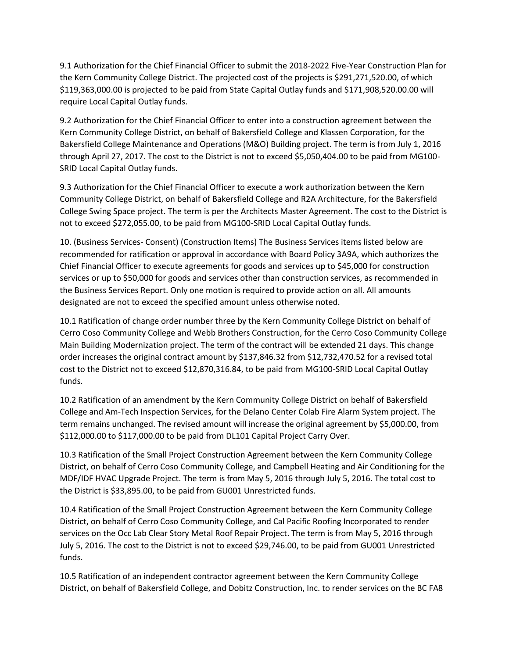9.1 Authorization for the Chief Financial Officer to submit the 2018-2022 Five-Year Construction Plan for the Kern Community College District. The projected cost of the projects is \$291,271,520.00, of which \$119,363,000.00 is projected to be paid from State Capital Outlay funds and \$171,908,520.00.00 will require Local Capital Outlay funds.

9.2 Authorization for the Chief Financial Officer to enter into a construction agreement between the Kern Community College District, on behalf of Bakersfield College and Klassen Corporation, for the Bakersfield College Maintenance and Operations (M&O) Building project. The term is from July 1, 2016 through April 27, 2017. The cost to the District is not to exceed \$5,050,404.00 to be paid from MG100- SRID Local Capital Outlay funds.

9.3 Authorization for the Chief Financial Officer to execute a work authorization between the Kern Community College District, on behalf of Bakersfield College and R2A Architecture, for the Bakersfield College Swing Space project. The term is per the Architects Master Agreement. The cost to the District is not to exceed \$272,055.00, to be paid from MG100-SRID Local Capital Outlay funds.

10. (Business Services- Consent) (Construction Items) The Business Services items listed below are recommended for ratification or approval in accordance with Board Policy 3A9A, which authorizes the Chief Financial Officer to execute agreements for goods and services up to \$45,000 for construction services or up to \$50,000 for goods and services other than construction services, as recommended in the Business Services Report. Only one motion is required to provide action on all. All amounts designated are not to exceed the specified amount unless otherwise noted.

10.1 Ratification of change order number three by the Kern Community College District on behalf of Cerro Coso Community College and Webb Brothers Construction, for the Cerro Coso Community College Main Building Modernization project. The term of the contract will be extended 21 days. This change order increases the original contract amount by \$137,846.32 from \$12,732,470.52 for a revised total cost to the District not to exceed \$12,870,316.84, to be paid from MG100-SRID Local Capital Outlay funds.

10.2 Ratification of an amendment by the Kern Community College District on behalf of Bakersfield College and Am-Tech Inspection Services, for the Delano Center Colab Fire Alarm System project. The term remains unchanged. The revised amount will increase the original agreement by \$5,000.00, from \$112,000.00 to \$117,000.00 to be paid from DL101 Capital Project Carry Over.

10.3 Ratification of the Small Project Construction Agreement between the Kern Community College District, on behalf of Cerro Coso Community College, and Campbell Heating and Air Conditioning for the MDF/IDF HVAC Upgrade Project. The term is from May 5, 2016 through July 5, 2016. The total cost to the District is \$33,895.00, to be paid from GU001 Unrestricted funds.

10.4 Ratification of the Small Project Construction Agreement between the Kern Community College District, on behalf of Cerro Coso Community College, and Cal Pacific Roofing Incorporated to render services on the Occ Lab Clear Story Metal Roof Repair Project. The term is from May 5, 2016 through July 5, 2016. The cost to the District is not to exceed \$29,746.00, to be paid from GU001 Unrestricted funds.

10.5 Ratification of an independent contractor agreement between the Kern Community College District, on behalf of Bakersfield College, and Dobitz Construction, Inc. to render services on the BC FA8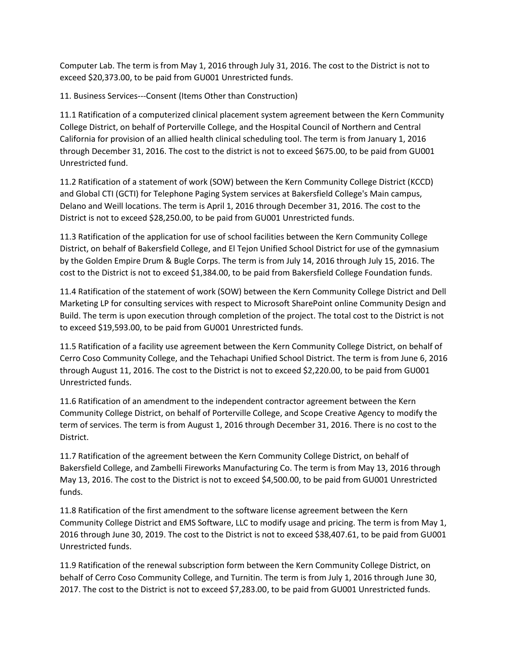Computer Lab. The term is from May 1, 2016 through July 31, 2016. The cost to the District is not to exceed \$20,373.00, to be paid from GU001 Unrestricted funds.

11. Business Services---Consent (Items Other than Construction)

11.1 Ratification of a computerized clinical placement system agreement between the Kern Community College District, on behalf of Porterville College, and the Hospital Council of Northern and Central California for provision of an allied health clinical scheduling tool. The term is from January 1, 2016 through December 31, 2016. The cost to the district is not to exceed \$675.00, to be paid from GU001 Unrestricted fund.

11.2 Ratification of a statement of work (SOW) between the Kern Community College District (KCCD) and Global CTI (GCTI) for Telephone Paging System services at Bakersfield College's Main campus, Delano and Weill locations. The term is April 1, 2016 through December 31, 2016. The cost to the District is not to exceed \$28,250.00, to be paid from GU001 Unrestricted funds.

11.3 Ratification of the application for use of school facilities between the Kern Community College District, on behalf of Bakersfield College, and El Tejon Unified School District for use of the gymnasium by the Golden Empire Drum & Bugle Corps. The term is from July 14, 2016 through July 15, 2016. The cost to the District is not to exceed \$1,384.00, to be paid from Bakersfield College Foundation funds.

11.4 Ratification of the statement of work (SOW) between the Kern Community College District and Dell Marketing LP for consulting services with respect to Microsoft SharePoint online Community Design and Build. The term is upon execution through completion of the project. The total cost to the District is not to exceed \$19,593.00, to be paid from GU001 Unrestricted funds.

11.5 Ratification of a facility use agreement between the Kern Community College District, on behalf of Cerro Coso Community College, and the Tehachapi Unified School District. The term is from June 6, 2016 through August 11, 2016. The cost to the District is not to exceed \$2,220.00, to be paid from GU001 Unrestricted funds.

11.6 Ratification of an amendment to the independent contractor agreement between the Kern Community College District, on behalf of Porterville College, and Scope Creative Agency to modify the term of services. The term is from August 1, 2016 through December 31, 2016. There is no cost to the District.

11.7 Ratification of the agreement between the Kern Community College District, on behalf of Bakersfield College, and Zambelli Fireworks Manufacturing Co. The term is from May 13, 2016 through May 13, 2016. The cost to the District is not to exceed \$4,500.00, to be paid from GU001 Unrestricted funds.

11.8 Ratification of the first amendment to the software license agreement between the Kern Community College District and EMS Software, LLC to modify usage and pricing. The term is from May 1, 2016 through June 30, 2019. The cost to the District is not to exceed \$38,407.61, to be paid from GU001 Unrestricted funds.

11.9 Ratification of the renewal subscription form between the Kern Community College District, on behalf of Cerro Coso Community College, and Turnitin. The term is from July 1, 2016 through June 30, 2017. The cost to the District is not to exceed \$7,283.00, to be paid from GU001 Unrestricted funds.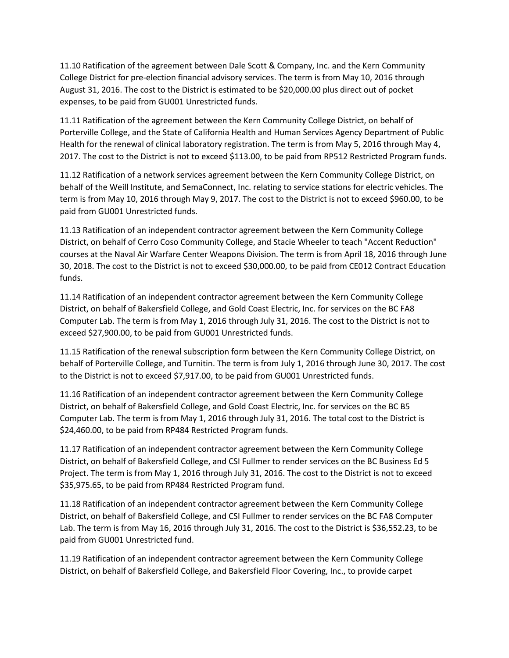11.10 Ratification of the agreement between Dale Scott & Company, Inc. and the Kern Community College District for pre-election financial advisory services. The term is from May 10, 2016 through August 31, 2016. The cost to the District is estimated to be \$20,000.00 plus direct out of pocket expenses, to be paid from GU001 Unrestricted funds.

11.11 Ratification of the agreement between the Kern Community College District, on behalf of Porterville College, and the State of California Health and Human Services Agency Department of Public Health for the renewal of clinical laboratory registration. The term is from May 5, 2016 through May 4, 2017. The cost to the District is not to exceed \$113.00, to be paid from RP512 Restricted Program funds.

11.12 Ratification of a network services agreement between the Kern Community College District, on behalf of the Weill Institute, and SemaConnect, Inc. relating to service stations for electric vehicles. The term is from May 10, 2016 through May 9, 2017. The cost to the District is not to exceed \$960.00, to be paid from GU001 Unrestricted funds.

11.13 Ratification of an independent contractor agreement between the Kern Community College District, on behalf of Cerro Coso Community College, and Stacie Wheeler to teach "Accent Reduction" courses at the Naval Air Warfare Center Weapons Division. The term is from April 18, 2016 through June 30, 2018. The cost to the District is not to exceed \$30,000.00, to be paid from CE012 Contract Education funds.

11.14 Ratification of an independent contractor agreement between the Kern Community College District, on behalf of Bakersfield College, and Gold Coast Electric, Inc. for services on the BC FA8 Computer Lab. The term is from May 1, 2016 through July 31, 2016. The cost to the District is not to exceed \$27,900.00, to be paid from GU001 Unrestricted funds.

11.15 Ratification of the renewal subscription form between the Kern Community College District, on behalf of Porterville College, and Turnitin. The term is from July 1, 2016 through June 30, 2017. The cost to the District is not to exceed \$7,917.00, to be paid from GU001 Unrestricted funds.

11.16 Ratification of an independent contractor agreement between the Kern Community College District, on behalf of Bakersfield College, and Gold Coast Electric, Inc. for services on the BC B5 Computer Lab. The term is from May 1, 2016 through July 31, 2016. The total cost to the District is \$24,460.00, to be paid from RP484 Restricted Program funds.

11.17 Ratification of an independent contractor agreement between the Kern Community College District, on behalf of Bakersfield College, and CSI Fullmer to render services on the BC Business Ed 5 Project. The term is from May 1, 2016 through July 31, 2016. The cost to the District is not to exceed \$35,975.65, to be paid from RP484 Restricted Program fund.

11.18 Ratification of an independent contractor agreement between the Kern Community College District, on behalf of Bakersfield College, and CSI Fullmer to render services on the BC FA8 Computer Lab. The term is from May 16, 2016 through July 31, 2016. The cost to the District is \$36,552.23, to be paid from GU001 Unrestricted fund.

11.19 Ratification of an independent contractor agreement between the Kern Community College District, on behalf of Bakersfield College, and Bakersfield Floor Covering, Inc., to provide carpet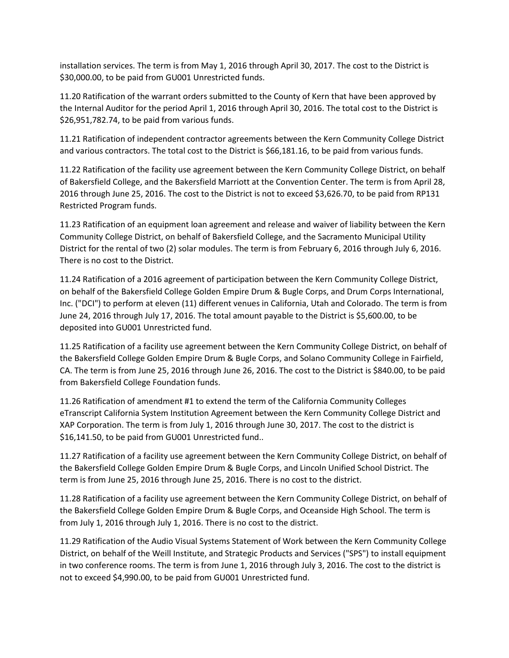installation services. The term is from May 1, 2016 through April 30, 2017. The cost to the District is \$30,000.00, to be paid from GU001 Unrestricted funds.

11.20 Ratification of the warrant orders submitted to the County of Kern that have been approved by the Internal Auditor for the period April 1, 2016 through April 30, 2016. The total cost to the District is \$26,951,782.74, to be paid from various funds.

11.21 Ratification of independent contractor agreements between the Kern Community College District and various contractors. The total cost to the District is \$66,181.16, to be paid from various funds.

11.22 Ratification of the facility use agreement between the Kern Community College District, on behalf of Bakersfield College, and the Bakersfield Marriott at the Convention Center. The term is from April 28, 2016 through June 25, 2016. The cost to the District is not to exceed \$3,626.70, to be paid from RP131 Restricted Program funds.

11.23 Ratification of an equipment loan agreement and release and waiver of liability between the Kern Community College District, on behalf of Bakersfield College, and the Sacramento Municipal Utility District for the rental of two (2) solar modules. The term is from February 6, 2016 through July 6, 2016. There is no cost to the District.

11.24 Ratification of a 2016 agreement of participation between the Kern Community College District, on behalf of the Bakersfield College Golden Empire Drum & Bugle Corps, and Drum Corps International, Inc. ("DCI") to perform at eleven (11) different venues in California, Utah and Colorado. The term is from June 24, 2016 through July 17, 2016. The total amount payable to the District is \$5,600.00, to be deposited into GU001 Unrestricted fund.

11.25 Ratification of a facility use agreement between the Kern Community College District, on behalf of the Bakersfield College Golden Empire Drum & Bugle Corps, and Solano Community College in Fairfield, CA. The term is from June 25, 2016 through June 26, 2016. The cost to the District is \$840.00, to be paid from Bakersfield College Foundation funds.

11.26 Ratification of amendment #1 to extend the term of the California Community Colleges eTranscript California System Institution Agreement between the Kern Community College District and XAP Corporation. The term is from July 1, 2016 through June 30, 2017. The cost to the district is \$16,141.50, to be paid from GU001 Unrestricted fund..

11.27 Ratification of a facility use agreement between the Kern Community College District, on behalf of the Bakersfield College Golden Empire Drum & Bugle Corps, and Lincoln Unified School District. The term is from June 25, 2016 through June 25, 2016. There is no cost to the district.

11.28 Ratification of a facility use agreement between the Kern Community College District, on behalf of the Bakersfield College Golden Empire Drum & Bugle Corps, and Oceanside High School. The term is from July 1, 2016 through July 1, 2016. There is no cost to the district.

11.29 Ratification of the Audio Visual Systems Statement of Work between the Kern Community College District, on behalf of the Weill Institute, and Strategic Products and Services ("SPS") to install equipment in two conference rooms. The term is from June 1, 2016 through July 3, 2016. The cost to the district is not to exceed \$4,990.00, to be paid from GU001 Unrestricted fund.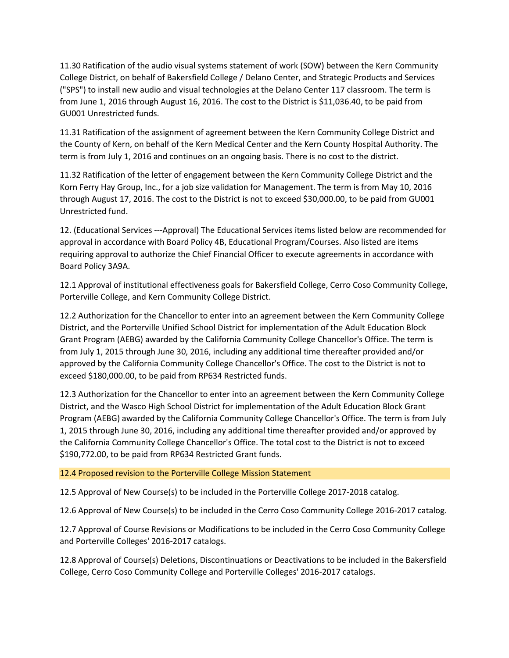11.30 Ratification of the audio visual systems statement of work (SOW) between the Kern Community College District, on behalf of Bakersfield College / Delano Center, and Strategic Products and Services ("SPS") to install new audio and visual technologies at the Delano Center 117 classroom. The term is from June 1, 2016 through August 16, 2016. The cost to the District is \$11,036.40, to be paid from GU001 Unrestricted funds.

11.31 Ratification of the assignment of agreement between the Kern Community College District and the County of Kern, on behalf of the Kern Medical Center and the Kern County Hospital Authority. The term is from July 1, 2016 and continues on an ongoing basis. There is no cost to the district.

11.32 Ratification of the letter of engagement between the Kern Community College District and the Korn Ferry Hay Group, Inc., for a job size validation for Management. The term is from May 10, 2016 through August 17, 2016. The cost to the District is not to exceed \$30,000.00, to be paid from GU001 Unrestricted fund.

12. (Educational Services ---Approval) The Educational Services items listed below are recommended for approval in accordance with Board Policy 4B, Educational Program/Courses. Also listed are items requiring approval to authorize the Chief Financial Officer to execute agreements in accordance with Board Policy 3A9A.

12.1 Approval of institutional effectiveness goals for Bakersfield College, Cerro Coso Community College, Porterville College, and Kern Community College District.

12.2 Authorization for the Chancellor to enter into an agreement between the Kern Community College District, and the Porterville Unified School District for implementation of the Adult Education Block Grant Program (AEBG) awarded by the California Community College Chancellor's Office. The term is from July 1, 2015 through June 30, 2016, including any additional time thereafter provided and/or approved by the California Community College Chancellor's Office. The cost to the District is not to exceed \$180,000.00, to be paid from RP634 Restricted funds.

12.3 Authorization for the Chancellor to enter into an agreement between the Kern Community College District, and the Wasco High School District for implementation of the Adult Education Block Grant Program (AEBG) awarded by the California Community College Chancellor's Office. The term is from July 1, 2015 through June 30, 2016, including any additional time thereafter provided and/or approved by the California Community College Chancellor's Office. The total cost to the District is not to exceed \$190,772.00, to be paid from RP634 Restricted Grant funds.

## 12.4 Proposed revision to the Porterville College Mission Statement

12.5 Approval of New Course(s) to be included in the Porterville College 2017-2018 catalog.

12.6 Approval of New Course(s) to be included in the Cerro Coso Community College 2016-2017 catalog.

12.7 Approval of Course Revisions or Modifications to be included in the Cerro Coso Community College and Porterville Colleges' 2016-2017 catalogs.

12.8 Approval of Course(s) Deletions, Discontinuations or Deactivations to be included in the Bakersfield College, Cerro Coso Community College and Porterville Colleges' 2016-2017 catalogs.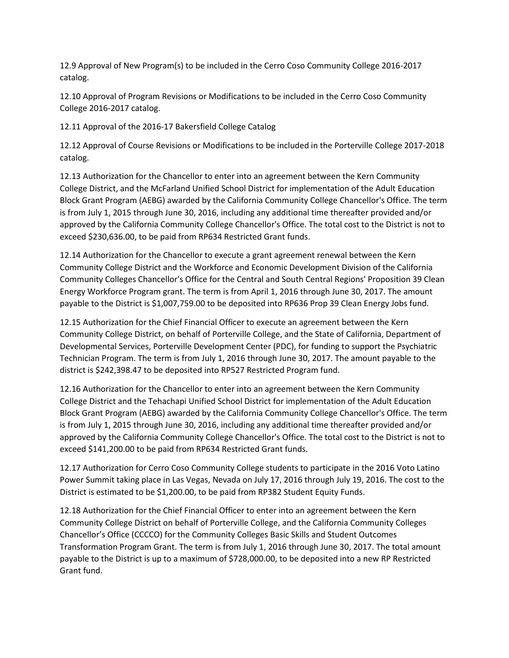12.9 Approval of New Program(s) to be included in the Cerro Coso Community College 2016-2017 catalog.

12.10 Approval of Program Revisions or Modifications to be included in the Cerro Coso Community College 2016-2017 catalog.

12.11 Approval of the 2016-17 Bakersfield College Catalog

12.12 Approval of Course Revisions or Modifications to be included in the Porterville College 2017-2018 catalog.

12.13 Authorization for the Chancellor to enter into an agreement between the Kern Community College District, and the McFarland Unified School District for implementation of the Adult Education Block Grant Program (AEBG) awarded by the California Community College Chancellor's Office. The term is from July 1, 2015 through June 30, 2016, including any additional time thereafter provided and/or approved by the California Community College Chancellor's Office. The total cost to the District is not to exceed \$230,636.00, to be paid from RP634 Restricted Grant funds.

12.14 Authorization for the Chancellor to execute a grant agreement renewal between the Kern Community College District and the Workforce and Economic Development Division of the California Community Colleges Chancellor's Office for the Central and South Central Regions' Proposition 39 Clean Energy Workforce Program grant. The term is from April 1, 2016 through June 30, 2017. The amount payable to the District is \$1,007,759.00 to be deposited into RP636 Prop 39 Clean Energy Jobs fund.

12.15 Authorization for the Chief Financial Officer to execute an agreement between the Kern Community College District, on behalf of Porterville College, and the State of California, Department of Developmental Services, Porterville Development Center (PDC), for funding to support the Psychiatric Technician Program. The term is from July 1, 2016 through June 30, 2017. The amount payable to the district is \$242,398.47 to be deposited into RP527 Restricted Program fund.

12.16 Authorization for the Chancellor to enter into an agreement between the Kern Community College District and the Tehachapi Unified School District for implementation of the Adult Education Block Grant Program (AEBG) awarded by the California Community College Chancellor's Office. The term is from July 1, 2015 through June 30, 2016, including any additional time thereafter provided and/or approved by the California Community College Chancellor's Office. The total cost to the District is not to exceed \$141,200.00 to be paid from RP634 Restricted Grant funds.

12.17 Authorization for Cerro Coso Community College students to participate in the 2016 Voto Latino Power Summit taking place in Las Vegas, Nevada on July 17, 2016 through July 19, 2016. The cost to the District is estimated to be \$1,200.00, to be paid from RP382 Student Equity Funds.

12.18 Authorization for the Chief Financial Officer to enter into an agreement between the Kern Community College District on behalf of Porterville College, and the California Community Colleges Chancellor's Office (CCCCO) for the Community Colleges Basic Skills and Student Outcomes Transformation Program Grant. The term is from July 1, 2016 through June 30, 2017. The total amount payable to the District is up to a maximum of \$728,000.00, to be deposited into a new RP Restricted Grant fund.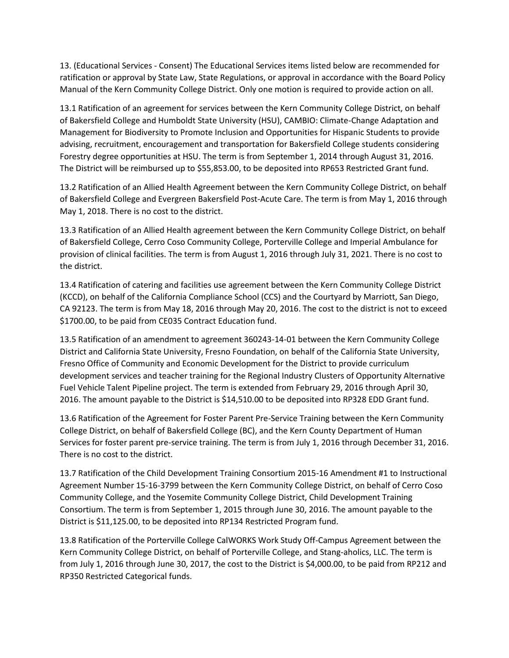13. (Educational Services - Consent) The Educational Services items listed below are recommended for ratification or approval by State Law, State Regulations, or approval in accordance with the Board Policy Manual of the Kern Community College District. Only one motion is required to provide action on all.

13.1 Ratification of an agreement for services between the Kern Community College District, on behalf of Bakersfield College and Humboldt State University (HSU), CAMBIO: Climate-Change Adaptation and Management for Biodiversity to Promote Inclusion and Opportunities for Hispanic Students to provide advising, recruitment, encouragement and transportation for Bakersfield College students considering Forestry degree opportunities at HSU. The term is from September 1, 2014 through August 31, 2016. The District will be reimbursed up to \$55,853.00, to be deposited into RP653 Restricted Grant fund.

13.2 Ratification of an Allied Health Agreement between the Kern Community College District, on behalf of Bakersfield College and Evergreen Bakersfield Post-Acute Care. The term is from May 1, 2016 through May 1, 2018. There is no cost to the district.

13.3 Ratification of an Allied Health agreement between the Kern Community College District, on behalf of Bakersfield College, Cerro Coso Community College, Porterville College and Imperial Ambulance for provision of clinical facilities. The term is from August 1, 2016 through July 31, 2021. There is no cost to the district.

13.4 Ratification of catering and facilities use agreement between the Kern Community College District (KCCD), on behalf of the California Compliance School (CCS) and the Courtyard by Marriott, San Diego, CA 92123. The term is from May 18, 2016 through May 20, 2016. The cost to the district is not to exceed \$1700.00, to be paid from CE035 Contract Education fund.

13.5 Ratification of an amendment to agreement 360243-14-01 between the Kern Community College District and California State University, Fresno Foundation, on behalf of the California State University, Fresno Office of Community and Economic Development for the District to provide curriculum development services and teacher training for the Regional Industry Clusters of Opportunity Alternative Fuel Vehicle Talent Pipeline project. The term is extended from February 29, 2016 through April 30, 2016. The amount payable to the District is \$14,510.00 to be deposited into RP328 EDD Grant fund.

13.6 Ratification of the Agreement for Foster Parent Pre-Service Training between the Kern Community College District, on behalf of Bakersfield College (BC), and the Kern County Department of Human Services for foster parent pre-service training. The term is from July 1, 2016 through December 31, 2016. There is no cost to the district.

13.7 Ratification of the Child Development Training Consortium 2015-16 Amendment #1 to Instructional Agreement Number 15-16-3799 between the Kern Community College District, on behalf of Cerro Coso Community College, and the Yosemite Community College District, Child Development Training Consortium. The term is from September 1, 2015 through June 30, 2016. The amount payable to the District is \$11,125.00, to be deposited into RP134 Restricted Program fund.

13.8 Ratification of the Porterville College CalWORKS Work Study Off-Campus Agreement between the Kern Community College District, on behalf of Porterville College, and Stang-aholics, LLC. The term is from July 1, 2016 through June 30, 2017, the cost to the District is \$4,000.00, to be paid from RP212 and RP350 Restricted Categorical funds.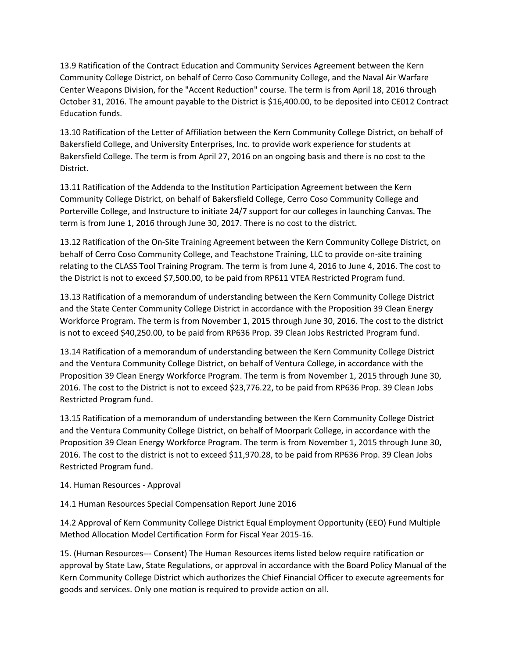13.9 Ratification of the Contract Education and Community Services Agreement between the Kern Community College District, on behalf of Cerro Coso Community College, and the Naval Air Warfare Center Weapons Division, for the "Accent Reduction" course. The term is from April 18, 2016 through October 31, 2016. The amount payable to the District is \$16,400.00, to be deposited into CE012 Contract Education funds.

13.10 Ratification of the Letter of Affiliation between the Kern Community College District, on behalf of Bakersfield College, and University Enterprises, Inc. to provide work experience for students at Bakersfield College. The term is from April 27, 2016 on an ongoing basis and there is no cost to the District.

13.11 Ratification of the Addenda to the Institution Participation Agreement between the Kern Community College District, on behalf of Bakersfield College, Cerro Coso Community College and Porterville College, and Instructure to initiate 24/7 support for our colleges in launching Canvas. The term is from June 1, 2016 through June 30, 2017. There is no cost to the district.

13.12 Ratification of the On-Site Training Agreement between the Kern Community College District, on behalf of Cerro Coso Community College, and Teachstone Training, LLC to provide on-site training relating to the CLASS Tool Training Program. The term is from June 4, 2016 to June 4, 2016. The cost to the District is not to exceed \$7,500.00, to be paid from RP611 VTEA Restricted Program fund.

13.13 Ratification of a memorandum of understanding between the Kern Community College District and the State Center Community College District in accordance with the Proposition 39 Clean Energy Workforce Program. The term is from November 1, 2015 through June 30, 2016. The cost to the district is not to exceed \$40,250.00, to be paid from RP636 Prop. 39 Clean Jobs Restricted Program fund.

13.14 Ratification of a memorandum of understanding between the Kern Community College District and the Ventura Community College District, on behalf of Ventura College, in accordance with the Proposition 39 Clean Energy Workforce Program. The term is from November 1, 2015 through June 30, 2016. The cost to the District is not to exceed \$23,776.22, to be paid from RP636 Prop. 39 Clean Jobs Restricted Program fund.

13.15 Ratification of a memorandum of understanding between the Kern Community College District and the Ventura Community College District, on behalf of Moorpark College, in accordance with the Proposition 39 Clean Energy Workforce Program. The term is from November 1, 2015 through June 30, 2016. The cost to the district is not to exceed \$11,970.28, to be paid from RP636 Prop. 39 Clean Jobs Restricted Program fund.

14. Human Resources - Approval

14.1 Human Resources Special Compensation Report June 2016

14.2 Approval of Kern Community College District Equal Employment Opportunity (EEO) Fund Multiple Method Allocation Model Certification Form for Fiscal Year 2015-16.

15. (Human Resources--- Consent) The Human Resources items listed below require ratification or approval by State Law, State Regulations, or approval in accordance with the Board Policy Manual of the Kern Community College District which authorizes the Chief Financial Officer to execute agreements for goods and services. Only one motion is required to provide action on all.